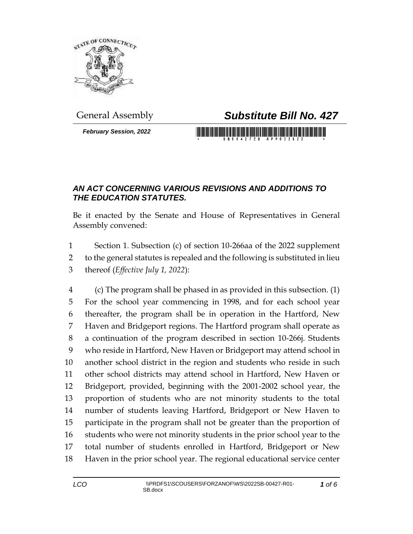

*February Session, 2022*

## General Assembly *Substitute Bill No. 427*

<u> III di kacamatan ing Kabupatèn III di kacamatan III di kacamatan III di kacamatan III di kacamatan III di kacamatan III di kacamatan III di kacamatan III di kacamatan III di kacamatan III di kacamatan III di kacamatan II</u>

## *AN ACT CONCERNING VARIOUS REVISIONS AND ADDITIONS TO THE EDUCATION STATUTES.*

Be it enacted by the Senate and House of Representatives in General Assembly convened:

 Section 1. Subsection (c) of section 10-266aa of the 2022 supplement to the general statutes is repealed and the following is substituted in lieu thereof (*Effective July 1, 2022*):

 (c) The program shall be phased in as provided in this subsection. (1) For the school year commencing in 1998, and for each school year thereafter, the program shall be in operation in the Hartford, New Haven and Bridgeport regions. The Hartford program shall operate as a continuation of the program described in section 10-266j. Students who reside in Hartford, New Haven or Bridgeport may attend school in another school district in the region and students who reside in such other school districts may attend school in Hartford, New Haven or Bridgeport, provided, beginning with the 2001-2002 school year, the proportion of students who are not minority students to the total number of students leaving Hartford, Bridgeport or New Haven to participate in the program shall not be greater than the proportion of students who were not minority students in the prior school year to the total number of students enrolled in Hartford, Bridgeport or New Haven in the prior school year. The regional educational service center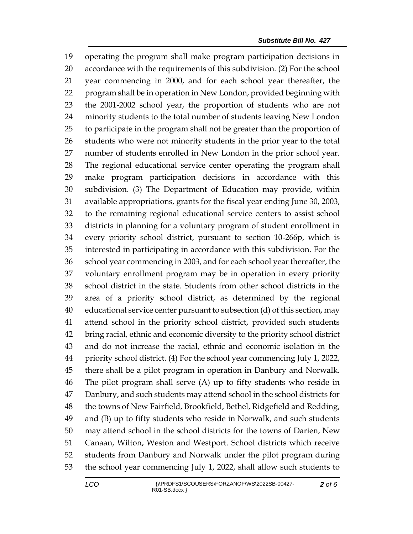operating the program shall make program participation decisions in accordance with the requirements of this subdivision. (2) For the school year commencing in 2000, and for each school year thereafter, the program shall be in operation in New London, provided beginning with the 2001-2002 school year, the proportion of students who are not minority students to the total number of students leaving New London to participate in the program shall not be greater than the proportion of students who were not minority students in the prior year to the total number of students enrolled in New London in the prior school year. The regional educational service center operating the program shall make program participation decisions in accordance with this subdivision. (3) The Department of Education may provide, within available appropriations, grants for the fiscal year ending June 30, 2003, to the remaining regional educational service centers to assist school districts in planning for a voluntary program of student enrollment in every priority school district, pursuant to section 10-266p, which is interested in participating in accordance with this subdivision. For the school year commencing in 2003, and for each school year thereafter, the voluntary enrollment program may be in operation in every priority school district in the state. Students from other school districts in the area of a priority school district, as determined by the regional educational service center pursuant to subsection (d) of this section, may attend school in the priority school district, provided such students bring racial, ethnic and economic diversity to the priority school district and do not increase the racial, ethnic and economic isolation in the priority school district. (4) For the school year commencing July 1, 2022, there shall be a pilot program in operation in Danbury and Norwalk. The pilot program shall serve (A) up to fifty students who reside in Danbury, and such students may attend school in the school districts for the towns of New Fairfield, Brookfield, Bethel, Ridgefield and Redding, and (B) up to fifty students who reside in Norwalk, and such students may attend school in the school districts for the towns of Darien, New Canaan, Wilton, Weston and Westport. School districts which receive students from Danbury and Norwalk under the pilot program during the school year commencing July 1, 2022, shall allow such students to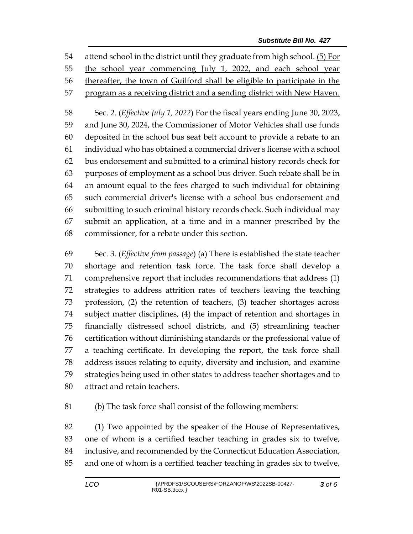attend school in the district until they graduate from high school. (5) For the school year commencing July 1, 2022, and each school year thereafter, the town of Guilford shall be eligible to participate in the program as a receiving district and a sending district with New Haven.

 Sec. 2. (*Effective July 1, 2022*) For the fiscal years ending June 30, 2023, and June 30, 2024, the Commissioner of Motor Vehicles shall use funds deposited in the school bus seat belt account to provide a rebate to an individual who has obtained a commercial driver's license with a school bus endorsement and submitted to a criminal history records check for purposes of employment as a school bus driver. Such rebate shall be in an amount equal to the fees charged to such individual for obtaining such commercial driver's license with a school bus endorsement and submitting to such criminal history records check. Such individual may submit an application, at a time and in a manner prescribed by the commissioner, for a rebate under this section.

 Sec. 3. (*Effective from passage*) (a) There is established the state teacher shortage and retention task force. The task force shall develop a comprehensive report that includes recommendations that address (1) strategies to address attrition rates of teachers leaving the teaching profession, (2) the retention of teachers, (3) teacher shortages across subject matter disciplines, (4) the impact of retention and shortages in financially distressed school districts, and (5) streamlining teacher certification without diminishing standards or the professional value of a teaching certificate. In developing the report, the task force shall address issues relating to equity, diversity and inclusion, and examine strategies being used in other states to address teacher shortages and to attract and retain teachers.

(b) The task force shall consist of the following members:

 (1) Two appointed by the speaker of the House of Representatives, one of whom is a certified teacher teaching in grades six to twelve, inclusive, and recommended by the Connecticut Education Association, and one of whom is a certified teacher teaching in grades six to twelve,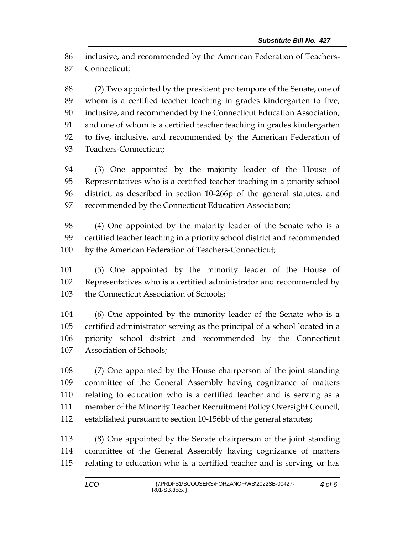inclusive, and recommended by the American Federation of Teachers-Connecticut;

 (2) Two appointed by the president pro tempore of the Senate, one of whom is a certified teacher teaching in grades kindergarten to five, inclusive, and recommended by the Connecticut Education Association, and one of whom is a certified teacher teaching in grades kindergarten to five, inclusive, and recommended by the American Federation of Teachers-Connecticut;

 (3) One appointed by the majority leader of the House of Representatives who is a certified teacher teaching in a priority school district, as described in section 10-266p of the general statutes, and 97 recommended by the Connecticut Education Association;

 (4) One appointed by the majority leader of the Senate who is a certified teacher teaching in a priority school district and recommended by the American Federation of Teachers-Connecticut;

 (5) One appointed by the minority leader of the House of Representatives who is a certified administrator and recommended by the Connecticut Association of Schools;

 (6) One appointed by the minority leader of the Senate who is a certified administrator serving as the principal of a school located in a priority school district and recommended by the Connecticut Association of Schools;

 (7) One appointed by the House chairperson of the joint standing committee of the General Assembly having cognizance of matters relating to education who is a certified teacher and is serving as a member of the Minority Teacher Recruitment Policy Oversight Council, established pursuant to section 10-156bb of the general statutes;

 (8) One appointed by the Senate chairperson of the joint standing committee of the General Assembly having cognizance of matters relating to education who is a certified teacher and is serving, or has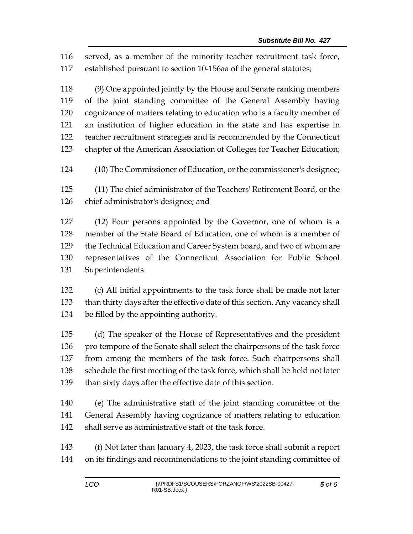served, as a member of the minority teacher recruitment task force, established pursuant to section 10-156aa of the general statutes;

 (9) One appointed jointly by the House and Senate ranking members of the joint standing committee of the General Assembly having cognizance of matters relating to education who is a faculty member of an institution of higher education in the state and has expertise in teacher recruitment strategies and is recommended by the Connecticut chapter of the American Association of Colleges for Teacher Education;

(10) The Commissioner of Education, or the commissioner's designee;

 (11) The chief administrator of the Teachers' Retirement Board, or the chief administrator's designee; and

 (12) Four persons appointed by the Governor, one of whom is a member of the State Board of Education, one of whom is a member of the Technical Education and Career System board, and two of whom are representatives of the Connecticut Association for Public School Superintendents.

 (c) All initial appointments to the task force shall be made not later than thirty days after the effective date of this section. Any vacancy shall be filled by the appointing authority.

 (d) The speaker of the House of Representatives and the president pro tempore of the Senate shall select the chairpersons of the task force from among the members of the task force. Such chairpersons shall schedule the first meeting of the task force, which shall be held not later than sixty days after the effective date of this section.

 (e) The administrative staff of the joint standing committee of the General Assembly having cognizance of matters relating to education shall serve as administrative staff of the task force.

 (f) Not later than January 4, 2023, the task force shall submit a report on its findings and recommendations to the joint standing committee of